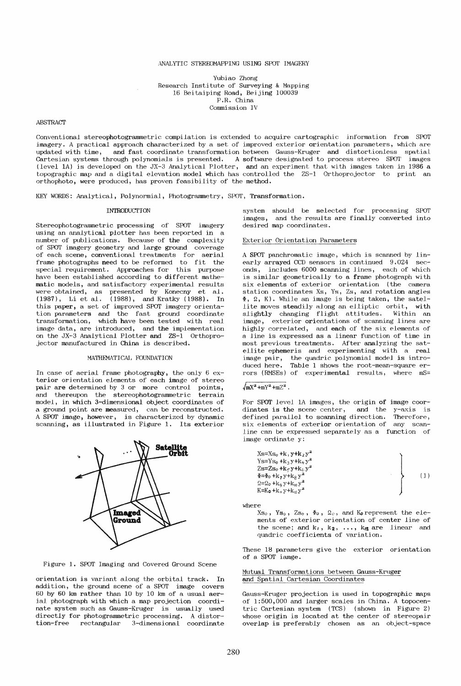### ANALYTIC STEREOMAPPING USING SPOT IMAGERY

Yubiao Zhong Research Institute of Surveying &. Mapping 16 Beitaiping Road, Beijing 100039 P.R. China Connnission IV

# ABSTRACT

Conventional stereophotogrammetric compilation is extended to acquire cartographic information from SPOT imagery. A practical approach characterized by a set of improved exterior orientation parameters, which are updated with time, and fast coordinate transformation between Gauss-Kruger and distortionless spatial Cartesian systems through po.lynomials is presented. A software designated to process stereo SPOT images (level 1A) is developed on the JX-3 Analytical Plotter, and an experiment that with images taken in 1986 a topographic map and a digital elevation model which has controlled the ZS-1 Orthoprojector to print an orthophoto, were produced, has proven feasibility of the method.

KEY WORDS: Analytical, Polynormial, Photogrammetry, SPOT, Transformation.

### **INTRODUCTION**

Stereophotogrannnetric processing of SPOT imagery using an analytical plotter has been reported in a number of publications. Because of the complexity of SPOT imagery geometry and large ground coverage of each scene, conventional treatments for aerial frame photographs need to be reformed to fit the special requirement. Approaches for this purpose have been established according to different mathematic models, and satisfactory experimental results were obtained, as presented by Konecny et al. (1987), Li et aJ.. (1988), and Kratky (1988). In this paper, a set of improved SPOT imagery orientation parameters and the fast ground coordinate transformation, which have been tested with real which have been tested with real image data, are introduced, and the implementation on the JX-3 Analytical Plotter and ZS-1 Orthoprojector manufactured in China is described.

# MATHEMATICAL FOUNDATION

In case of aerial frame photography, the only 6 exterior orientation elements of each image of stereo pair are determined by 3 or more control points, and thereupon the stereophotogrannnetric terrain model, in which 3-dimensional object coordinates of a ground point are measured, can be reconstructed. A SPOT image, however, is characterized by dynamic scanning, as illustrated in Figure 1. Its exterior



Figure 1. SPOT Imaging and Covered Ground Scene

orientation is variant along the orbital track. In addition, the ground scene of a SPOT image covers 60 by 60 km rather than 10 by 10 km of a usual aerial photograph with which a map projection coordinate system such as Gauss-Kruger is usually used directly for photogrammetric processing. A distor-<br>tion-free rectangular 3-dimensional coordinate rectangular 3-dimensional coordinate

system should be selected for processing SPOT images, and the results are finally converted into and the results are finally converted into desired map coordinates.

### Exterior Orientation Parameters

A SPOT panchromatic image, which is scanned by linearly arrayed CCD sensors in continued 9.024 sec-<br>onds, includes 6000 scanning lines, each of which includes  $6000$  scanning lines, each of which is similar geometrically to a frame photograph with six elements of exterior orientation (the camera station coordinates Xs, Ys, Zs, and rotation angles  $\Phi$ ,  $\Omega$ , K). While an image is being taken, the satellite moves <mark>stea</mark>dily along an elliptic orbit, with<br>slightly changing flight attitudes. Within an slightly changing flight attitudes. image, exterior orientations of scanning lines are highly correlated, and each of the six elements of a line is expressed as a linear function of time in most previous treatments. After analyzing the satellite ephemeris and experimenting with a real image pair, the quadric polynomial model is introduced here. Table 1 shows the root-mean-square errors (RMSEs) of experimental results, where mS=

# $\sqrt{mx^2 + mY^2 + mZ^2}$ .

For SPOT level 1A images, the origin of image coordinates is the scene center, and the y-axis is<br>defined parallel to scanning direction. Therefore, defined parallel to scanning direction. Therefore,<br>six elements of exterior orientation of any scansix elements of exterior orientation of line can be expressed separately as a function of image ordinate y:

| $Xs = Xs_0 + k_1 y + k_2 y^2$            |  |  |
|------------------------------------------|--|--|
| $Ys = Ys_0 + k_3y + k_4y^2$              |  |  |
| $Zs = Zs_0 + k_0 y + k_0 y^2$            |  |  |
| $\Phi = \Phi_0 + k_7 y + k_8 y^2$        |  |  |
| $\Omega = \Omega_0 + k_g y + k_{10} y^2$ |  |  |
| $K = K_0 + k_0 y + k_{12} y^2$           |  |  |

where

 $Xs_0$ ,  $Ys_0$ ,  $Zs_0$ ,  $\Phi_0$ ,  $\Omega_0$ , and  $K_0$  represent the elements of exterior orientation of center line of the scene; and  $k_1$ ,  $k_2$ , ...,  $k_{12}$  are linear and quadric coefficients of variation.

These 18 parameters give the exterior orientation of' a SPOT iamge.

Mutual Transformations between Gauss-Kruger and Spatial Cartesian Coordinates .

Gauss-Kruger projection is used in topographic maps of 1:500,000 and larger scales in China. A topocentric Cartesian system (TCS) (shown in Figure 2) whose origin is located at the center of stereopair overlap is preferably chosen as an object-space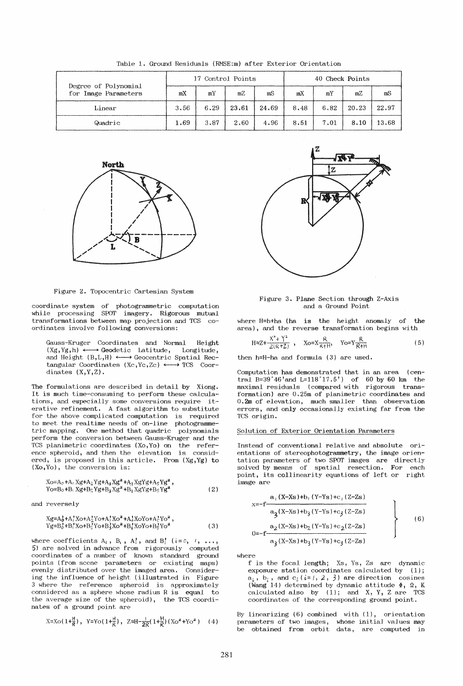| Degree of Polynomial<br>for Image Parameters | 17 Control Points |      |       |       | 40 Check Points |      |       |       |
|----------------------------------------------|-------------------|------|-------|-------|-----------------|------|-------|-------|
|                                              | mX                | mY   | mZ    | mS    | mX              | mY   | mZ    | mS    |
| Linear                                       | 3.56              | 6.29 | 23.61 | 24.69 | 8,48            | 6.82 | 20.23 | 22.97 |
| Quadric                                      | 1.69              | 3.87 | 2.60  | 4.96  | 8.51            | 7.01 | 8,10  | 13.68 |

Table 1. Ground Residuals (RMSE:m) after Exterior Orientation



Figure 2. Topocentric Cartesian System

coordinate system of photogrammetric computation while processing SPOT imagery. Rigorous mutual transformations between map projection and TCS coordinates involve following conversions:

Gauss-Kruger Coordinates and Normal Height<br>(Xg,Yg,h)  $\longleftrightarrow$  Geodetic Latitude, Longitude, and Height  $(B,L,H) \longleftrightarrow$  Geocentric Spatial Rectangular Coordinates (Xc, Yc, Zc)  $\longleftrightarrow$  TCS Coordinates  $(X, Y, Z)$ .

The formulations are described in detail by Xiong. It is much time-consuming to perform these calculations, and especially some conversions require iterative refinement. A fast algorithm to substitute for the above complicated computation is required to meet the realtime needs of on-line photogrammetric mapping. One method that quadric polynomials perform the conversion between Gauss-Kruger and the TCS planimetric coordinates (Xo, Yo) on the reference spheroid, and then the elevation is considered, is proposed in this article. From  $(Xg, Yg)$  to  $(Xo, Yo)$ , the conversion is:

$$
Xo=A0+A1 Xg+A2 Yg+A3 Xg2+A4 XgYg+A5 Yg2,
$$
  
\n
$$
Yo=B0+B1 Xg+B2 Yg+B3 Xg2+B4 XgYg+B5 Yg2
$$
\n(2)

and reversely

 $\overline{2}$ 

where coefficients  $A_i$ ,  $B_i$ ,  $A_i^{\dagger}$ , and  $B_i^{\dagger}$  ( $i=0, 1, ...,$ 5) are solved in advance from rigorously computed coordinates of a number of known standard ground points (from scene parameters or existing maps) evenly distributed over the imaged area. Considering the influence of height (illustrated in Figure 3 where the reference spheroid is approximately considered as a sphere whose radius  $R$  is equal to the average size of the spheroid), the TCS coordinates of a ground point are

$$
X = Xo(1+\frac{H}{R}), \quad Y = Yo(1+\frac{H}{R}), \quad Z \approx H - \frac{1}{2R}(1+\frac{H}{R})(Xo^{2}+Yo^{2}) \quad (4)
$$



Figure 3. Plane Section through Z-Axis and a Ground Point

where H=h+ha (ha is the height anomaly of the area), and the reverse transformation begins with

$$
H \approx Z + \frac{X^2 + Y^2}{2(R+Z)}, \quad Xo = X \frac{R}{R+H}, \quad Yo = Y \frac{R}{R+H}
$$
 (5)

then  $h=H-ha$  and formula (3) are used.

Computation has demonstrated that in an area (central  $B=39^{\circ}46'$  and  $L=118^{\circ}17.5'$  of 60 by 60 km the maximal residuals (compared with rigorous transformation) are 0.25m of planimetric coordinates and 0.2m of elevation, much smaller than observation errors, and only occasionally existing far from the TCS origin.

#### Solution of Exterior Orientation Parameters

Instead of conventional relative and absolute orientations of stereophotogrammetry, the image orientation parameters of two SPOT images are directly<br>solved by means of spatial resection. For each point, its collinearity equations of left or right image are

$$
x=-f\frac{a_1(X-Xs)+b_1(Y-Ys)+c_1(Z-Zs)}{a_3(X-Xs)+b_3(Y-Ys)+c_3(Z-Zs)}
$$
  
\n
$$
0=-f\frac{a_2(X-Xs)+b_2(Y-Ys)+c_2(Z-Zs)}{a_3(X-Xs)+b_3(Y-Ys)+c_3(Z-Zs)}
$$
 (6)

where

f is the focal length; Xs, Ys, Zs are dynamic exposure station coordinates calculated by  $(1)$ ;  $a_i$ ,  $b_i$ , and  $c_i$  ( $i=1$ , 2, 3) are direction cosines (Wang 14) determined by dynamic attitude  $\Phi$ ,  $\Omega$ , K calculated also by  $(1)$ ; and X, Y, Z are TCS coordinates of the corresponding ground point.

By linearizing  $(6)$  combined with  $(1)$ , orientation parameters of two images, whose initial values may be obtained from orbit data, are computed in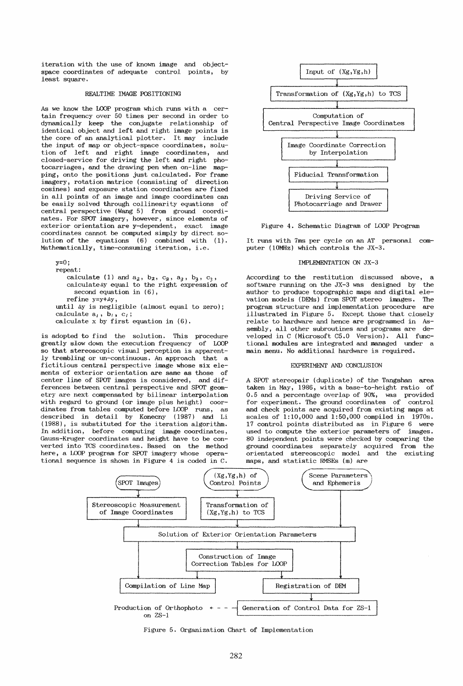iteration with the use of known image and objectspace coordinates of adequate control points, by least square.

# REALTIME IMAGE POSITIONING

As we know the LOOP program which runs with a certain frequency over 50 times per second in order to dynamically keep the conjugate relationship of identical object and left and right image points is the core of an analytical plotter. It may include the input of map or object-space coordinates, solution of left and right image coordinates, and closed-service for driving the left and right photocarriages, and the drawing pen when on-line mapping, onto the positions just calculated. For frame imagery, rotation matrice (consisting of direction cosines) and exposure station coordinates are fixed in all points of an image and image coordinates can be easily solved through collinearity equations of central perspective (Wang 5) from ground coordinates. For SPOT imagery, however, since elements of exterior orientation are y-dependent, exact image coordinates cannot be computed simply by direct solution of the equations  $(6)$  combined with  $(1)$ . Mathematically, time-consuming iteration, i.e.

 $y=0$ ; repeat: calculate (1) and  $a_2$ ,  $b_2$ ,  $c_2$ ,  $a_3$ ,  $b_3$ ,  $c_3$ , calculateay equal to the right expression of second equation in (6), refine y=y+Ay, until Ay is negligible (almost equal to zero); calculate  $a_i$ ,  $b_i$ ,  $c_i$ ; calculate  $x$  by first equation in  $(6)$ .

is adopted to find the solution. This procedure greatly slow down the execution frequency of LOOP so that stereoscopic visual perception is apparently trembling or un-continuous. An approach that a fictitious central perspective image whose six elements of exterior orientation are same as those of center line of SPOT images is considered, and differences between central perspective and SPOT geometry are next compensated by bilinear interpolation with regard to ground (or image plus height) coordinates from tables computed before LOOP runs, as described in detail by Konecny (1987) and Li (1988), is substituted for the iteration algorithm. In addition, before computing image coordinates, Gauss-Kruger coordinates and height have to be converted into 1DS coordinates. Based on the method here, a LOOP program for SPOT imagery whose operational sequence is shown in Figure 4 is coded in C.



Figure 4. Schematic Diagram of LOOP Program

It runs with 7ms per cycle on an AT personal computer (10MHz) which controls the  $JX-3$ .

### IMPLEMENTATION ON JX-3

According to the restitution discussed above, a software running on the  $JX-3$  was designed by the software running on the  $JX-3$  was designed by author to produce topographic maps and digital elevation models (HEMs) from SPOT stereo images. The program structure and implementation procedure illustrated in Figure 5. Except those that closely relate to hardware and hence are programmed in Assembly, all other subroutines and programs are developed in C (Microsoft C5.0 Version). All functional modules are integrated and managed under a main menu. No additional hardware is required.

### EXPERIMENT AND CONCLUSION

A SPOT stereopair (duplicate) of the Tangshan area taken in May, 1986, with a base-to-height ratio of 0.5 and a percentage overlap of 90%, was provided for experiment. The ground coordinates of control and check points are acquired from existing maps at scales of 1:10,000 and 1:50,000 compiled in 1970s. 17 control points distributed as in Figure 6 were used to compute the exterior parameters of images. 80 independent points were checked by comparing the ground coordinates separately acquired from the orientated stereoscopic model and the existing maps, and statistic RMSEs (m) are



Figure 5. Organization Chart of Implementation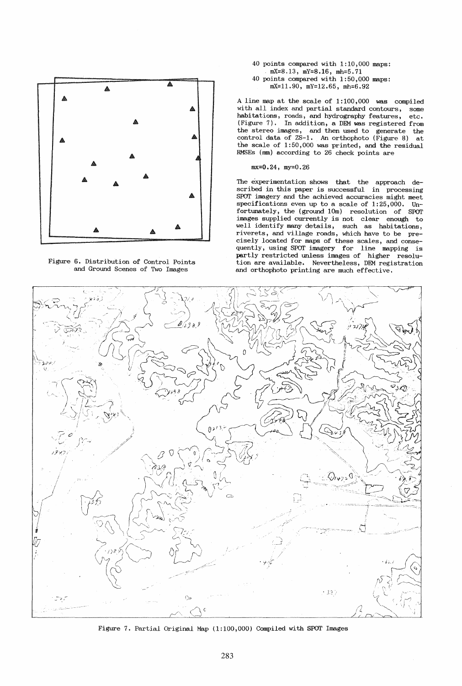

Figure 6. Distribution of Control Points and Ground Scenes of Two Images

- 40 points compared with 1:10,000 maps: mX=8.13, mY=8.16, mh=5.71
- 40 points compared with 1:50,000 maps: mX=11.90, mY=12.65, mh=6.92

A line map at the scale of 1:100,000 was compiled with all index and partial standard contours, some habitations, roads, and hydrography features, etc. (Figure 7). In addition, a DEM was registered from the stereo images, and then used to generate the control data of ZS-l. An orthophoto (Figure 8) at the scale of 1:50,000 was printed, and the residual RMSEs (mm) according to 26 check points are

# mx=O.24, my=0.26

The experimentation shows that the approach described in this paper is successful in processing SPOT imagery and the achieved accuracies might meet specifications even up to a scale of 1:25,000. Unfortunately, the (ground 10m) resolution of SPOT images supplied currently is not clear enough to well identify many details, such as habitations, riverets, and village roads, which have to be precisely located for maps of these scales, and consequently, using SPOT imagery for line mapping is partly restricted unless images of higher resolution are available. Nevertheless, DEM registration and orthophoto printing are much effective.



Figure 7. Partial Original Map (1:100,000) Compiled with SPOT Images